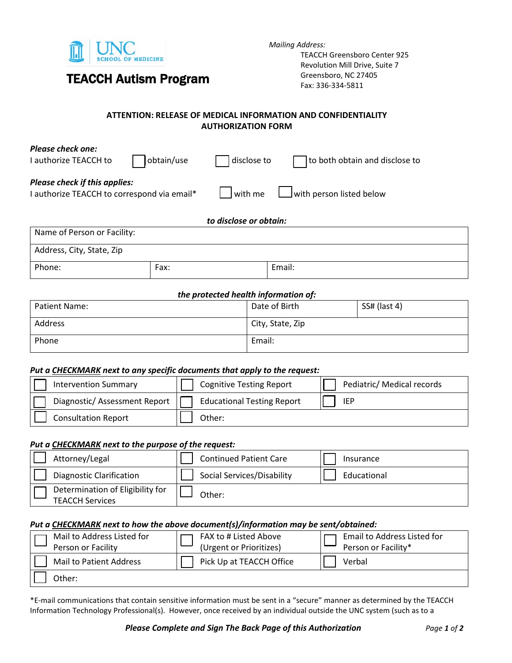

TEACCH Autism Program

*Mailing Address:* 

TEACCH Greensboro Center 925 Revolution Mill Drive, Suite 7 Greensboro, NC 27405 Fax: 336-334-5811

## **ATTENTION: RELEASE OF MEDICAL INFORMATION AND CONFIDENTIALITY AUTHORIZATION FORM**

| <b>Please check one:</b><br>I authorize TEACCH to                                   | obtain/use | disclose to            | to both obtain and disclose to |
|-------------------------------------------------------------------------------------|------------|------------------------|--------------------------------|
| <b>Please check if this applies:</b><br>I authorize TEACCH to correspond via email* |            | $\vert$ with me        | with person listed below       |
|                                                                                     |            | to disclose or obtain: |                                |
| Name of Person or Facility:                                                         |            |                        |                                |
| Address, City, State, Zip                                                           |            |                        |                                |

Phone:  $|$  Fax:  $|$  Email:

### *the protected health information of:*

| Patient Name: | Date of Birth    | SS# (last 4) |
|---------------|------------------|--------------|
| Address       | City, State, Zip |              |
| Phone         | Email:           |              |

### *Put a CHECKMARK next to any specific documents that apply to the request:*

| <b>Intervention Summary</b>  | <b>Cognitive Testing Report</b>   | Pediatric/ Medical records |
|------------------------------|-----------------------------------|----------------------------|
| Diagnostic/Assessment Report | <b>Educational Testing Report</b> | <b>IEP</b>                 |
| <b>Consultation Report</b>   | Other:                            |                            |

### *Put a CHECKMARK next to the purpose of the request:*

| Attorney/Legal                                             | <b>Continued Patient Care</b> | Insurance   |
|------------------------------------------------------------|-------------------------------|-------------|
| <b>Diagnostic Clarification</b>                            | Social Services/Disability    | Educational |
| Determination of Eligibility for<br><b>TEACCH Services</b> | Other:                        |             |

### *Put a CHECKMARK next to how the above document(s)/information may be sent/obtained:*

| Mail to Address Listed for<br>Person or Facility | FAX to # Listed Above<br>(Urgent or Prioritizes) | Email to Address Listed for<br>Person or Facility* |
|--------------------------------------------------|--------------------------------------------------|----------------------------------------------------|
| Mail to Patient Address                          | Pick Up at TEACCH Office                         | Verbal                                             |
| Other:                                           |                                                  |                                                    |

\*E-mail communications that contain sensitive information must be sent in a "secure" manner as determined by the TEACCH Information Technology Professional(s). However, once received by an individual outside the UNC system (such as to a